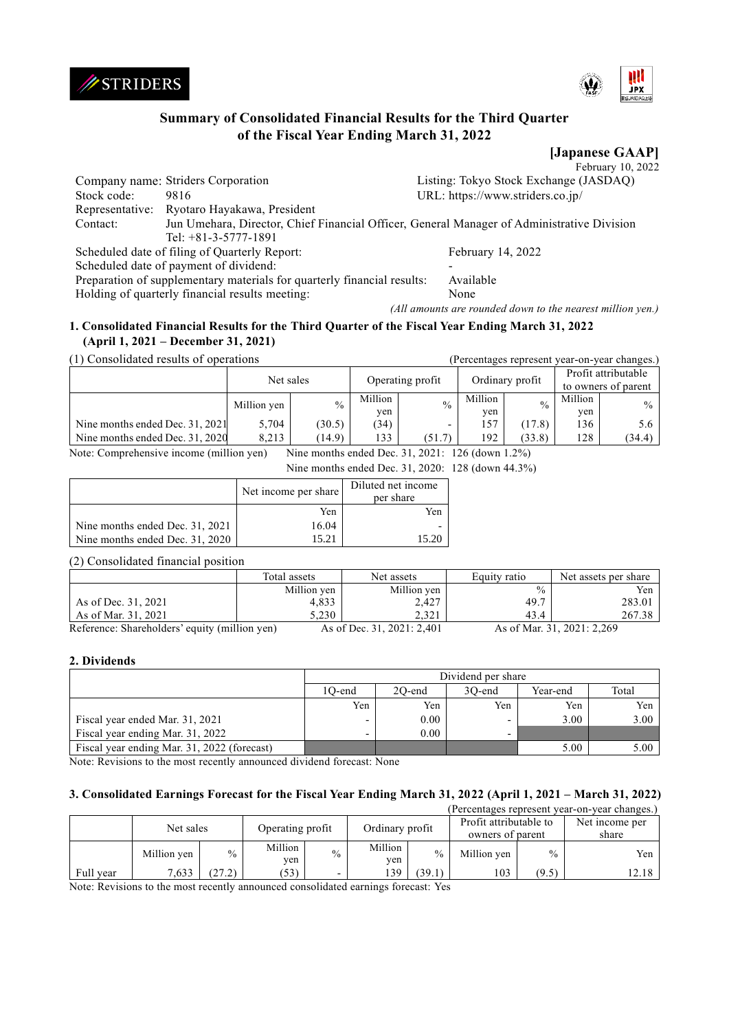



# **Summary of Consolidated Financial Results for the Third Quarter of the Fiscal Year Ending March 31, 2022**

**[Japanese GAAP]** February 10, 2022

|             | Company name: Striders Corporation                                                         | Listing: Tokyo Stock Exchange (JASDAQ) |
|-------------|--------------------------------------------------------------------------------------------|----------------------------------------|
|             |                                                                                            |                                        |
| Stock code: | 9816                                                                                       | URL: https://www.striders.co.jp/       |
|             | Representative: Ryotaro Hayakawa, President                                                |                                        |
| Contact:    | Jun Umehara, Director, Chief Financial Officer, General Manager of Administrative Division |                                        |
|             | Tel: $+81-3-5777-1891$                                                                     |                                        |
|             | Scheduled date of filing of Quarterly Report:                                              | February 14, 2022                      |
|             | Scheduled date of payment of dividend:                                                     |                                        |
|             | Preparation of supplementary materials for quarterly financial results:                    | Available                              |
|             | Holding of quarterly financial results meeting:                                            | None                                   |

*(All amounts are rounded down to the nearest million yen.)*

### **1. Consolidated Financial Results for the Third Quarter of the Fiscal Year Ending March 31, 2022 (April 1, 2021 – December 31, 2021)**

(1) Consolidated results of operations (Percentages represent year-on-year changes.)

|                                 | Net sales   |               | Operating profit |                          | Ordinary profit |               |                | Profit attributable<br>to owners of parent |
|---------------------------------|-------------|---------------|------------------|--------------------------|-----------------|---------------|----------------|--------------------------------------------|
|                                 | Million yen | $\frac{0}{0}$ | Million<br>yen   | $\frac{0}{0}$            | Million<br>ven  | $\frac{0}{0}$ | Million<br>ven | $\%$ 1                                     |
| Nine months ended Dec. 31, 2021 | 5.704       | (30.5)        | (34)             | $\overline{\phantom{0}}$ | 157             | (17.8)        | l 36           | 5.6                                        |
| Nine months ended Dec. 31, 2020 | 8.213       | (14.9)        | $133 -$          | (51.7)                   | 192             | (33.8)        | 128            | (34.4)                                     |

Note: Comprehensive income (million yen) Nine months ended Dec. 31, 2021: 126 (down 1.2%)

Nine months ended Dec. 31, 2020: 128 (down 44.3%)

|                                 | Net income per share | Diluted net income<br>per share |
|---------------------------------|----------------------|---------------------------------|
|                                 | Yen                  | Yen                             |
| Nine months ended Dec. 31, 2021 | 16.04                |                                 |
| Nine months ended Dec. 31, 2020 | 15.21                |                                 |

(2) Consolidated financial position

|                                               | Total assets | Net assets                 | Equity ratio  | Net assets per share       |
|-----------------------------------------------|--------------|----------------------------|---------------|----------------------------|
|                                               | Million yen  | Million yen                | $\frac{0}{0}$ | Yen                        |
| As of Dec. 31, 2021                           | 4,833        | 2,427                      | 49.7          | 283.01                     |
| As of Mar. 31, 2021                           | 5.230        | 2.321                      | 43.4          | 267.38                     |
| Reference: Shareholders' equity (million yen) |              | As of Dec. 31, 2021: 2,401 |               | As of Mar. 31, 2021: 2,269 |

### **2. Dividends**

|                                             | Dividend per share |        |                          |          |       |  |  |
|---------------------------------------------|--------------------|--------|--------------------------|----------|-------|--|--|
|                                             | 1O-end             | 20-end | 30-end                   | Year-end | Total |  |  |
|                                             | Yen                | Yen    | Yen                      | Yen      | Yen   |  |  |
| Fiscal year ended Mar. 31, 2021             |                    | 0.00   | $\overline{\phantom{0}}$ | 3.00     | 3.00  |  |  |
| Fiscal year ending Mar. 31, 2022            |                    | 0.00   | $\overline{\phantom{0}}$ |          |       |  |  |
| Fiscal year ending Mar. 31, 2022 (forecast) |                    |        |                          | 5.00     | 5.00  |  |  |

Note: Revisions to the most recently announced dividend forecast: None

### **3. Consolidated Earnings Forecast for the Fiscal Year Ending March 31, 2022 (April 1, 2021 – March 31, 2022)**

| (Percentages represent year-on-year changes.) |             |        |                  |      |                 |               |                        |       |                  |  |
|-----------------------------------------------|-------------|--------|------------------|------|-----------------|---------------|------------------------|-------|------------------|--|
| Net sales                                     |             |        | Operating profit |      | Ordinary profit |               | Profit attributable to |       | Net income per   |  |
|                                               |             |        |                  |      |                 |               |                        |       | owners of parent |  |
|                                               | Million yen | $\%$   | Million<br>yen   | $\%$ | Million<br>yen  | $\frac{0}{0}$ | Million yen            | $\%$  | Yen              |  |
| Full year                                     | 7,633       | (27.2) | (53)             | -    | 39ء             | 39.1          | 103                    | (9.5) | 12.18            |  |

Note: Revisions to the most recently announced consolidated earnings forecast: Yes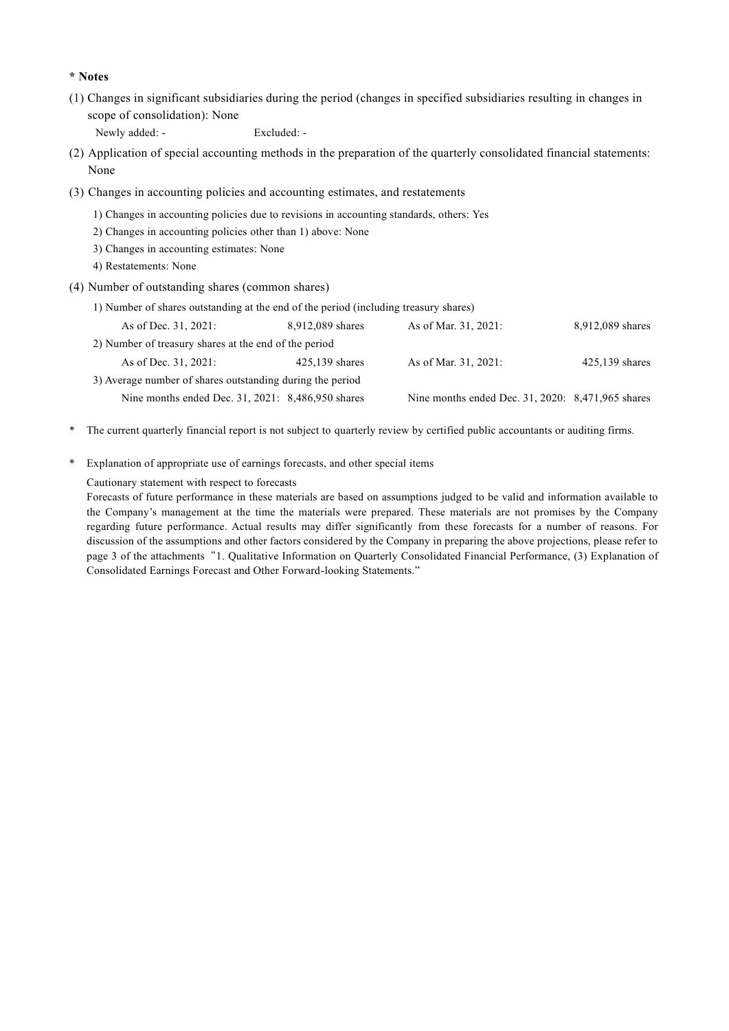#### **\* Notes**

(1) Changes in significant subsidiaries during the period (changes in specified subsidiaries resulting in changes in scope of consolidation): None

Newly added: - Excluded: -

- (2) Application of special accounting methods in the preparation of the quarterly consolidated financial statements: None
- (3) Changes in accounting policies and accounting estimates, and restatements
	- 1) Changes in accounting policies due to revisions in accounting standards, others: Yes
	- 2) Changes in accounting policies other than 1) above: None
	- 3) Changes in accounting estimates: None
	- 4) Restatements: None
- (4) Number of outstanding shares (common shares)
	- 1) Number of shares outstanding at the end of the period (including treasury shares)

| As of Dec. 31, 2021:                                      | 8,912,089 shares | As of Mar. 31, 2021:                              | 8,912,089 shares |
|-----------------------------------------------------------|------------------|---------------------------------------------------|------------------|
| 2) Number of treasury shares at the end of the period     |                  |                                                   |                  |
| As of Dec. 31, 2021:                                      | $425.139$ shares | As of Mar. 31, 2021:                              | $425,139$ shares |
| 3) Average number of shares outstanding during the period |                  |                                                   |                  |
| Nine months ended Dec. 31, 2021: 8,486,950 shares         |                  | Nine months ended Dec. 31, 2020: 8,471,965 shares |                  |

- \* The current quarterly financial report is not subject to quarterly review by certified public accountants or auditing firms.
- \* Explanation of appropriate use of earnings forecasts, and other special items

Cautionary statement with respect to forecasts

Forecasts of future performance in these materials are based on assumptions judged to be valid and information available to the Company's management at the time the materials were prepared. These materials are not promises by the Company regarding future performance. Actual results may differ significantly from these forecasts for a number of reasons. For discussion of the assumptions and other factors considered by the Company in preparing the above projections, please refer to page 3 of the attachments"1. Qualitative Information on Quarterly Consolidated Financial Performance, (3) Explanation of Consolidated Earnings Forecast and Other Forward-looking Statements."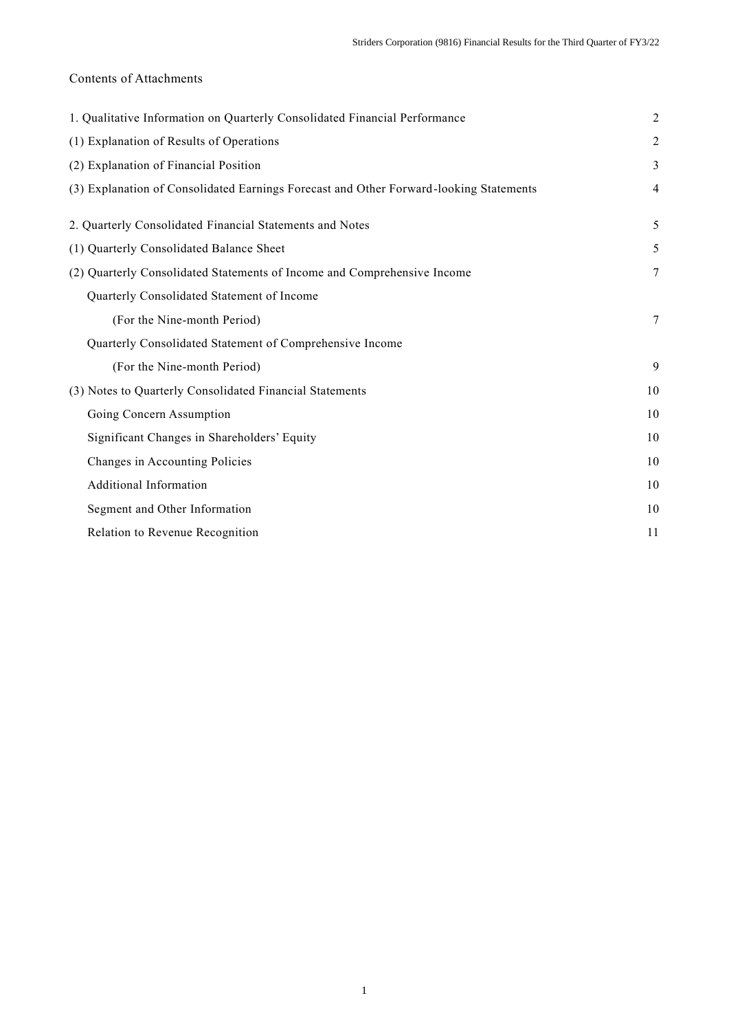# Contents of Attachments

| 1. Qualitative Information on Quarterly Consolidated Financial Performance             | $\overline{2}$ |
|----------------------------------------------------------------------------------------|----------------|
| (1) Explanation of Results of Operations                                               | $\overline{2}$ |
| (2) Explanation of Financial Position                                                  | 3              |
| (3) Explanation of Consolidated Earnings Forecast and Other Forward-looking Statements | $\overline{4}$ |
| 2. Quarterly Consolidated Financial Statements and Notes                               | 5              |
| (1) Quarterly Consolidated Balance Sheet                                               | 5              |
| (2) Quarterly Consolidated Statements of Income and Comprehensive Income               | 7              |
| Quarterly Consolidated Statement of Income                                             |                |
| (For the Nine-month Period)                                                            | $\tau$         |
| Quarterly Consolidated Statement of Comprehensive Income                               |                |
| (For the Nine-month Period)                                                            | 9              |
| (3) Notes to Quarterly Consolidated Financial Statements                               | 10             |
| Going Concern Assumption                                                               | 10             |
| Significant Changes in Shareholders' Equity                                            | 10             |
| Changes in Accounting Policies                                                         | 10             |
| Additional Information                                                                 | 10             |
| Segment and Other Information                                                          | 10             |
| Relation to Revenue Recognition                                                        | 11             |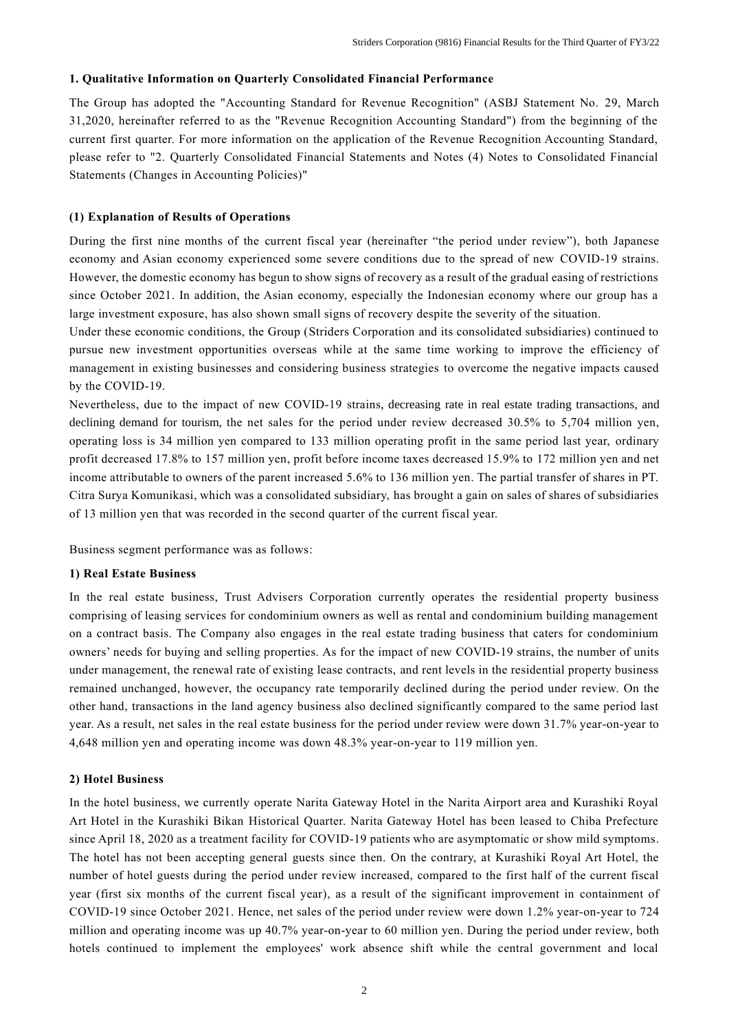#### **1. Qualitative Information on Quarterly Consolidated Financial Performance**

The Group has adopted the "Accounting Standard for Revenue Recognition" (ASBJ Statement No. 29, March 31,2020, hereinafter referred to as the "Revenue Recognition Accounting Standard") from the beginning of the current first quarter. For more information on the application of the Revenue Recognition Accounting Standard, please refer to "2. Quarterly Consolidated Financial Statements and Notes (4) Notes to Consolidated Financial Statements (Changes in Accounting Policies)"

#### **(1) Explanation of Results of Operations**

During the first nine months of the current fiscal year (hereinafter "the period under review"), both Japanese economy and Asian economy experienced some severe conditions due to the spread of new COVID-19 strains. However, the domestic economy has begun to show signs of recovery as a result of the gradual easing of restrictions since October 2021. In addition, the Asian economy, especially the Indonesian economy where our group has a large investment exposure, has also shown small signs of recovery despite the severity of the situation.

Under these economic conditions, the Group (Striders Corporation and its consolidated subsidiaries) continued to pursue new investment opportunities overseas while at the same time working to improve the efficiency of management in existing businesses and considering business strategies to overcome the negative impacts caused by the COVID-19.

Nevertheless, due to the impact of new COVID-19 strains, decreasing rate in real estate trading transactions, and declining demand for tourism, the net sales for the period under review decreased 30.5% to 5,704 million yen, operating loss is 34 million yen compared to 133 million operating profit in the same period last year, ordinary profit decreased 17.8% to 157 million yen, profit before income taxes decreased 15.9% to 172 million yen and net income attributable to owners of the parent increased 5.6% to 136 million yen. The partial transfer of shares in PT. Citra Surya Komunikasi, which was a consolidated subsidiary, has brought a gain on sales of shares of subsidiaries of 13 million yen that was recorded in the second quarter of the current fiscal year.

Business segment performance was as follows:

#### **1) Real Estate Business**

In the real estate business, Trust Advisers Corporation currently operates the residential property business comprising of leasing services for condominium owners as well as rental and condominium building management on a contract basis. The Company also engages in the real estate trading business that caters for condominium owners' needs for buying and selling properties. As for the impact of new COVID-19 strains, the number of units under management, the renewal rate of existing lease contracts, and rent levels in the residential property business remained unchanged, however, the occupancy rate temporarily declined during the period under review. On the other hand, transactions in the land agency business also declined significantly compared to the same period last year. As a result, net sales in the real estate business for the period under review were down 31.7% year-on-year to 4,648 million yen and operating income was down 48.3% year-on-year to 119 million yen.

#### **2) Hotel Business**

In the hotel business, we currently operate Narita Gateway Hotel in the Narita Airport area and Kurashiki Royal Art Hotel in the Kurashiki Bikan Historical Quarter. Narita Gateway Hotel has been leased to Chiba Prefecture since April 18, 2020 as a treatment facility for COVID-19 patients who are asymptomatic or show mild symptoms. The hotel has not been accepting general guests since then. On the contrary, at Kurashiki Royal Art Hotel, the number of hotel guests during the period under review increased, compared to the first half of the current fiscal year (first six months of the current fiscal year), as a result of the significant improvement in containment of COVID-19 since October 2021. Hence, net sales of the period under review were down 1.2% year-on-year to 724 million and operating income was up 40.7% year-on-year to 60 million yen. During the period under review, both hotels continued to implement the employees' work absence shift while the central government and local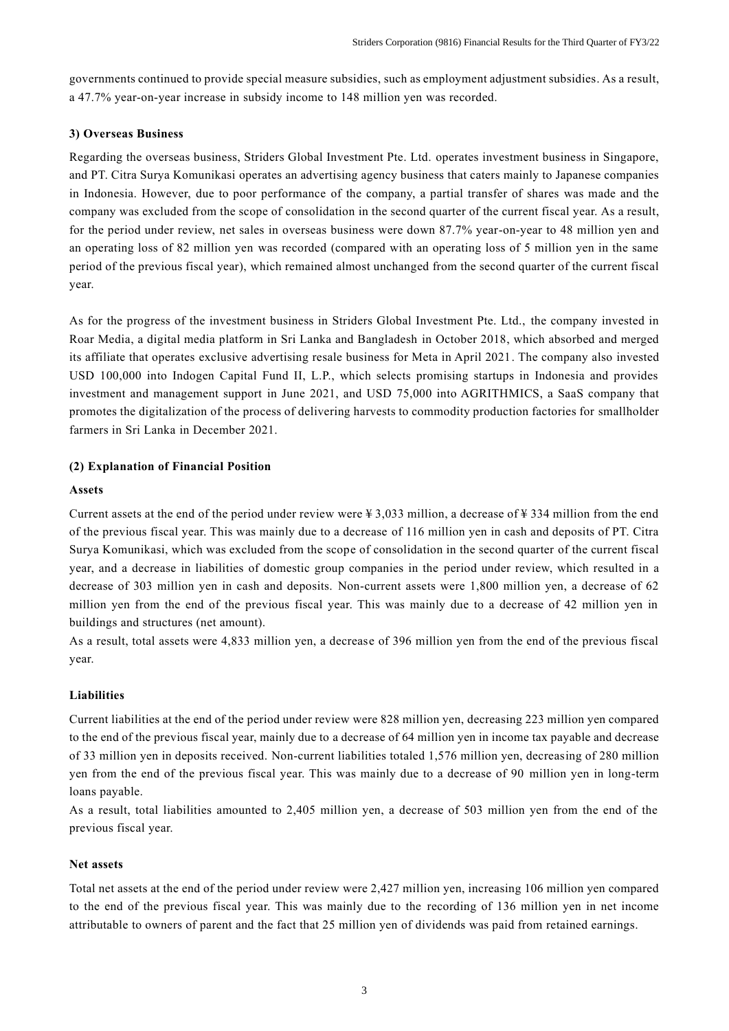governments continued to provide special measure subsidies, such as employment adjustment subsidies. As a result, a 47.7% year-on-year increase in subsidy income to 148 million yen was recorded.

### **3) Overseas Business**

Regarding the overseas business, Striders Global Investment Pte. Ltd. operates investment business in Singapore, and PT. Citra Surya Komunikasi operates an advertising agency business that caters mainly to Japanese companies in Indonesia. However, due to poor performance of the company, a partial transfer of shares was made and the company was excluded from the scope of consolidation in the second quarter of the current fiscal year. As a result, for the period under review, net sales in overseas business were down 87.7% year-on-year to 48 million yen and an operating loss of 82 million yen was recorded (compared with an operating loss of 5 million yen in the same period of the previous fiscal year), which remained almost unchanged from the second quarter of the current fiscal year.

As for the progress of the investment business in Striders Global Investment Pte. Ltd., the company invested in Roar Media, a digital media platform in Sri Lanka and Bangladesh in October 2018, which absorbed and merged its affiliate that operates exclusive advertising resale business for Meta in April 2021. The company also invested USD 100,000 into Indogen Capital Fund II, L.P., which selects promising startups in Indonesia and provides investment and management support in June 2021, and USD 75,000 into AGRITHMICS, a SaaS company that promotes the digitalization of the process of delivering harvests to commodity production factories for smallholder farmers in Sri Lanka in December 2021.

### **(2) Explanation of Financial Position**

### **Assets**

Current assets at the end of the period under review were  $\frac{1}{2}$ ,033 million, a decrease of  $\frac{1}{2}$  334 million from the end of the previous fiscal year. This was mainly due to a decrease of 116 million yen in cash and deposits of PT. Citra Surya Komunikasi, which was excluded from the scope of consolidation in the second quarter of the current fiscal year, and a decrease in liabilities of domestic group companies in the period under review, which resulted in a decrease of 303 million yen in cash and deposits. Non-current assets were 1,800 million yen, a decrease of 62 million yen from the end of the previous fiscal year. This was mainly due to a decrease of 42 million yen in buildings and structures (net amount).

As a result, total assets were 4,833 million yen, a decrease of 396 million yen from the end of the previous fiscal year.

## **Liabilities**

Current liabilities at the end of the period under review were 828 million yen, decreasing 223 million yen compared to the end of the previous fiscal year, mainly due to a decrease of 64 million yen in income tax payable and decrease of 33 million yen in deposits received. Non-current liabilities totaled 1,576 million yen, decreasing of 280 million yen from the end of the previous fiscal year. This was mainly due to a decrease of 90 million yen in long-term loans payable.

As a result, total liabilities amounted to 2,405 million yen, a decrease of 503 million yen from the end of the previous fiscal year.

### **Net assets**

Total net assets at the end of the period under review were 2,427 million yen, increasing 106 million yen compared to the end of the previous fiscal year. This was mainly due to the recording of 136 million yen in net income attributable to owners of parent and the fact that 25 million yen of dividends was paid from retained earnings.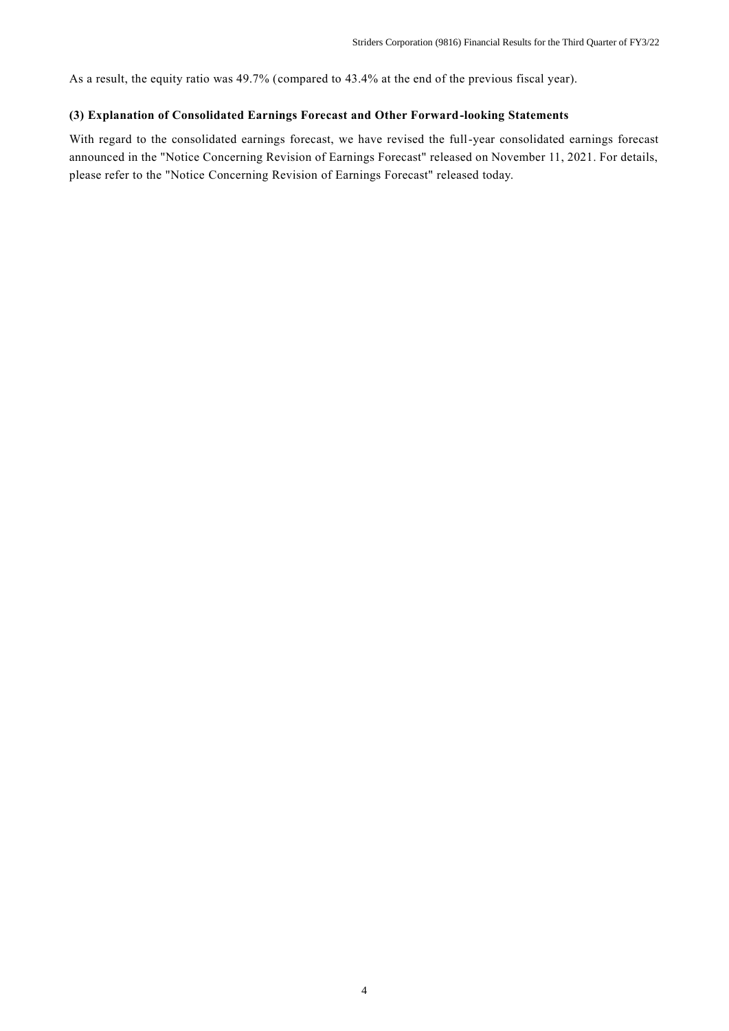As a result, the equity ratio was 49.7% (compared to 43.4% at the end of the previous fiscal year).

## **(3) Explanation of Consolidated Earnings Forecast and Other Forward-looking Statements**

With regard to the consolidated earnings forecast, we have revised the full-year consolidated earnings forecast announced in the "Notice Concerning Revision of Earnings Forecast" released on November 11, 2021. For details, please refer to the "Notice Concerning Revision of Earnings Forecast" released today.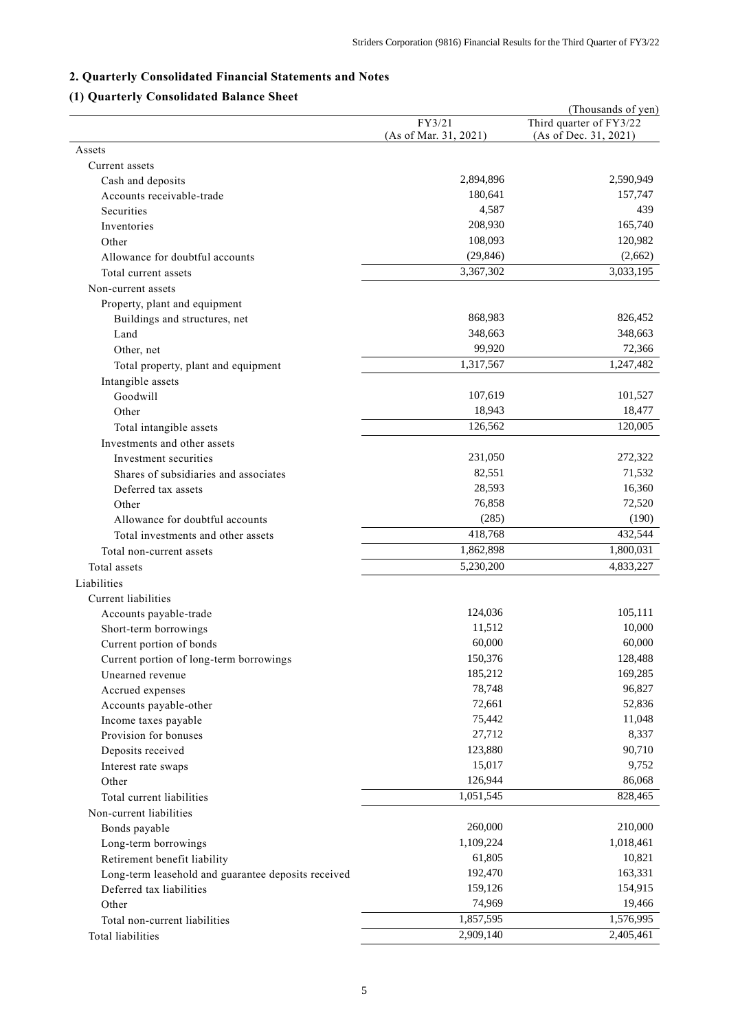# **2. Quarterly Consolidated Financial Statements and Notes**

# **(1) Quarterly Consolidated Balance Sheet**

|                                                     |                       | (Thousands of yen)      |
|-----------------------------------------------------|-----------------------|-------------------------|
|                                                     | FY3/21                | Third quarter of FY3/22 |
| Assets                                              | (As of Mar. 31, 2021) | (As of Dec. 31, 2021)   |
| Current assets                                      |                       |                         |
| Cash and deposits                                   | 2,894,896             | 2,590,949               |
| Accounts receivable-trade                           | 180,641               | 157,747                 |
| Securities                                          | 4,587                 | 439                     |
| Inventories                                         | 208,930               | 165,740                 |
| Other                                               | 108,093               | 120,982                 |
| Allowance for doubtful accounts                     | (29, 846)             | (2,662)                 |
| Total current assets                                | 3,367,302             | 3,033,195               |
|                                                     |                       |                         |
| Non-current assets                                  |                       |                         |
| Property, plant and equipment                       |                       |                         |
| Buildings and structures, net                       | 868,983               | 826,452                 |
| Land                                                | 348,663               | 348,663                 |
| Other, net                                          | 99,920                | 72,366                  |
| Total property, plant and equipment                 | 1,317,567             | 1,247,482               |
| Intangible assets                                   |                       |                         |
| Goodwill                                            | 107,619               | 101,527                 |
| Other                                               | 18,943                | 18,477                  |
| Total intangible assets                             | 126,562               | 120,005                 |
| Investments and other assets                        |                       |                         |
| Investment securities                               | 231,050               | 272,322                 |
| Shares of subsidiaries and associates               | 82,551                | 71,532                  |
| Deferred tax assets                                 | 28,593                | 16,360                  |
| Other                                               | 76,858                | 72,520                  |
| Allowance for doubtful accounts                     | (285)                 | (190)                   |
| Total investments and other assets                  | 418,768               | 432,544                 |
| Total non-current assets                            | 1,862,898             | 1,800,031               |
| Total assets                                        | 5,230,200             | 4,833,227               |
| Liabilities                                         |                       |                         |
| Current liabilities                                 |                       |                         |
| Accounts payable-trade                              | 124,036               | 105,111                 |
| Short-term borrowings                               | 11,512                | 10,000                  |
| Current portion of bonds                            | 60,000                | 60,000                  |
| Current portion of long-term borrowings             | 150,376               | 128,488                 |
| Unearned revenue                                    | 185,212               | 169,285                 |
| Accrued expenses                                    | 78,748                | 96,827                  |
| Accounts payable-other                              | 72,661                | 52,836                  |
| Income taxes payable                                | 75,442                | 11,048                  |
| Provision for bonuses                               | 27,712                | 8,337                   |
| Deposits received                                   | 123,880               | 90,710                  |
| Interest rate swaps                                 | 15,017                | 9,752                   |
| Other                                               | 126,944               | 86,068                  |
| Total current liabilities                           | 1,051,545             | 828,465                 |
|                                                     |                       |                         |
| Non-current liabilities                             | 260,000               | 210,000                 |
| Bonds payable                                       |                       |                         |
| Long-term borrowings                                | 1,109,224             | 1,018,461               |
| Retirement benefit liability                        | 61,805                | 10,821                  |
| Long-term leasehold and guarantee deposits received | 192,470               | 163,331                 |
| Deferred tax liabilities                            | 159,126               | 154,915                 |
| Other                                               | 74,969                | 19,466                  |
| Total non-current liabilities                       | 1,857,595             | 1,576,995               |
| Total liabilities                                   | 2,909,140             | 2,405,461               |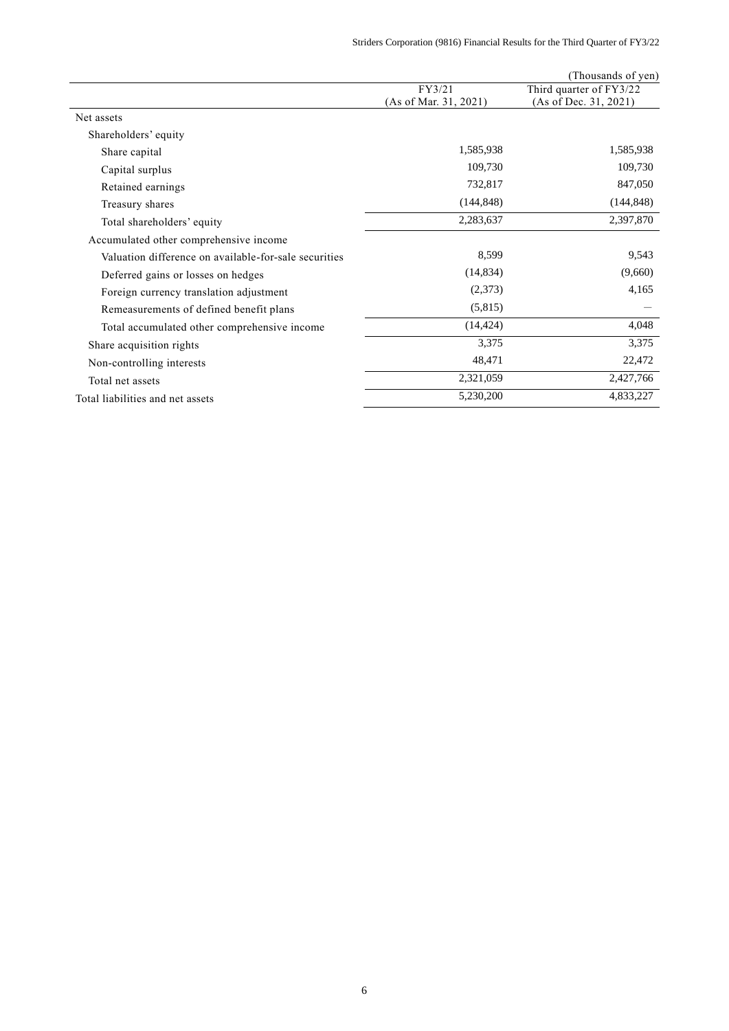|                                                       |                       | (Thousands of yen)      |
|-------------------------------------------------------|-----------------------|-------------------------|
|                                                       | FY3/21                | Third quarter of FY3/22 |
|                                                       | (As of Mar. 31, 2021) | (As of Dec. 31, 2021)   |
| Net assets                                            |                       |                         |
| Shareholders' equity                                  |                       |                         |
| Share capital                                         | 1,585,938             | 1,585,938               |
| Capital surplus                                       | 109,730               | 109,730                 |
| Retained earnings                                     | 732,817               | 847,050                 |
| Treasury shares                                       | (144, 848)            | (144, 848)              |
| Total shareholders' equity                            | 2,283,637             | 2,397,870               |
| Accumulated other comprehensive income                |                       |                         |
| Valuation difference on available-for-sale securities | 8,599                 | 9,543                   |
| Deferred gains or losses on hedges                    | (14, 834)             | (9,660)                 |
| Foreign currency translation adjustment               | (2,373)               | 4,165                   |
| Remeasurements of defined benefit plans               | (5,815)               |                         |
| Total accumulated other comprehensive income          | (14, 424)             | 4,048                   |
| Share acquisition rights                              | 3,375                 | 3,375                   |
| Non-controlling interests                             | 48,471                | 22,472                  |
| Total net assets                                      | 2,321,059             | 2,427,766               |
| Total liabilities and net assets                      | 5,230,200             | 4,833,227               |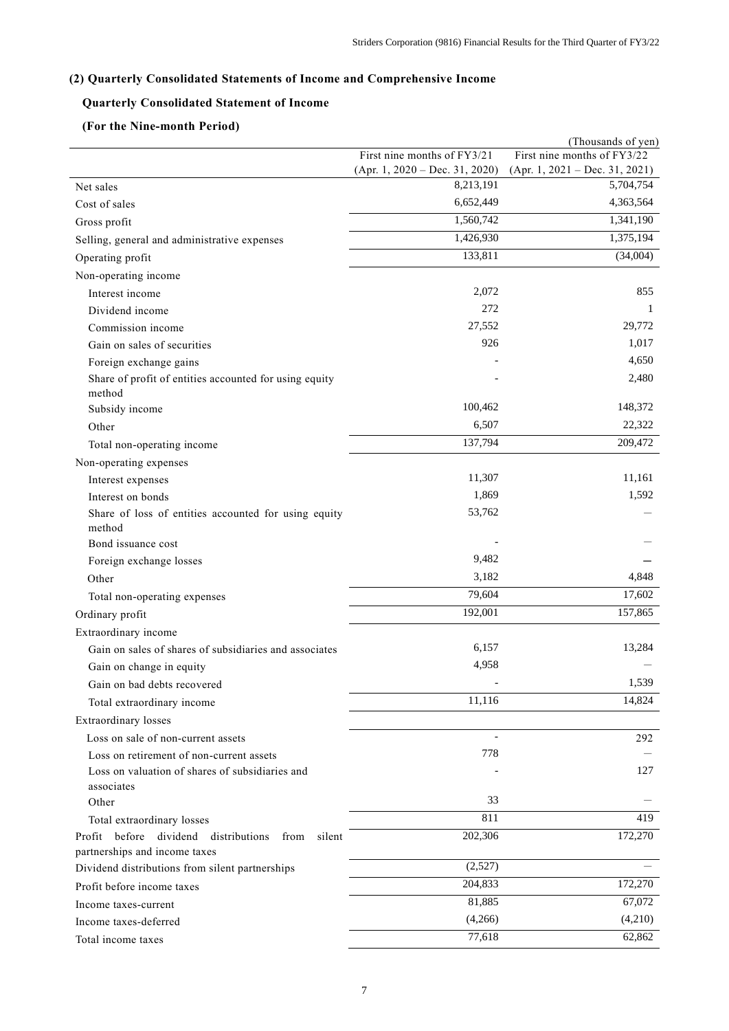# **(2) Quarterly Consolidated Statements of Income and Comprehensive Income**

# **Quarterly Consolidated Statement of Income**

## **(For the Nine-month Period)**

|                                                                 |                                               | (Thousands of yen)                            |
|-----------------------------------------------------------------|-----------------------------------------------|-----------------------------------------------|
|                                                                 | First nine months of FY3/21                   | First nine months of FY3/22                   |
|                                                                 | $(Apr. 1, 2020 - Dec. 31, 2020)$<br>8,213,191 | $(Apr. 1, 2021 - Dec. 31, 2021)$<br>5,704,754 |
| Net sales                                                       | 6,652,449                                     | 4,363,564                                     |
| Cost of sales                                                   |                                               |                                               |
| Gross profit                                                    | 1,560,742                                     | 1,341,190                                     |
| Selling, general and administrative expenses                    | 1,426,930                                     | 1,375,194                                     |
| Operating profit                                                | 133,811                                       | (34,004)                                      |
| Non-operating income                                            |                                               |                                               |
| Interest income                                                 | 2,072                                         | 855                                           |
| Dividend income                                                 | 272                                           | 1                                             |
| Commission income                                               | 27,552                                        | 29,772                                        |
| Gain on sales of securities                                     | 926                                           | 1,017                                         |
| Foreign exchange gains                                          |                                               | 4,650                                         |
| Share of profit of entities accounted for using equity          |                                               | 2,480                                         |
| method                                                          | 100,462                                       | 148,372                                       |
| Subsidy income                                                  |                                               |                                               |
| Other                                                           | 6,507                                         | 22,322                                        |
| Total non-operating income                                      | 137,794                                       | 209,472                                       |
| Non-operating expenses                                          |                                               |                                               |
| Interest expenses                                               | 11,307                                        | 11,161                                        |
| Interest on bonds                                               | 1,869                                         | 1,592                                         |
| Share of loss of entities accounted for using equity<br>method  | 53,762                                        |                                               |
| Bond issuance cost                                              |                                               |                                               |
| Foreign exchange losses                                         | 9,482                                         |                                               |
| Other                                                           | 3,182                                         | 4,848                                         |
| Total non-operating expenses                                    | 79,604                                        | 17,602                                        |
| Ordinary profit                                                 | 192,001                                       | 157,865                                       |
| Extraordinary income                                            |                                               |                                               |
| Gain on sales of shares of subsidiaries and associates          | 6,157                                         | 13,284                                        |
| Gain on change in equity                                        | 4,958                                         |                                               |
| Gain on bad debts recovered                                     |                                               | 1,539                                         |
| Total extraordinary income                                      | 11,116                                        | 14,824                                        |
| Extraordinary losses                                            |                                               |                                               |
| Loss on sale of non-current assets                              |                                               | 292                                           |
| Loss on retirement of non-current assets                        | 778                                           |                                               |
| Loss on valuation of shares of subsidiaries and                 |                                               | 127                                           |
| associates                                                      |                                               |                                               |
| Other                                                           | 33                                            |                                               |
| Total extraordinary losses                                      | 811                                           | 419                                           |
| before<br>dividend<br>Profit<br>distributions<br>from<br>silent | 202,306                                       | 172,270                                       |
| partnerships and income taxes                                   |                                               |                                               |
| Dividend distributions from silent partnerships                 | (2,527)                                       |                                               |
| Profit before income taxes                                      | 204,833                                       | 172,270                                       |
| Income taxes-current                                            | 81,885                                        | 67,072                                        |
| Income taxes-deferred                                           | (4,266)                                       | (4,210)                                       |
| Total income taxes                                              | 77,618                                        | 62,862                                        |
|                                                                 |                                               |                                               |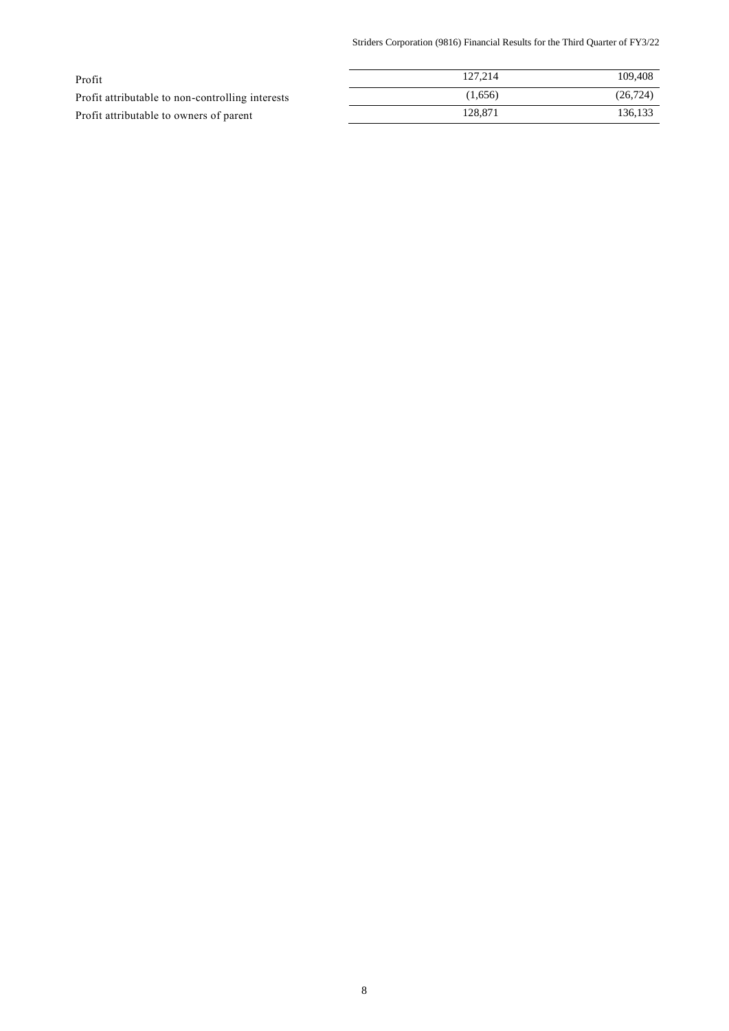Striders Corporation (9816) Financial Results for the Third Quarter of FY3/22

| Profit                                           | 127.214 | 109.408   |
|--------------------------------------------------|---------|-----------|
| Profit attributable to non-controlling interests | (1,656) | (26, 724) |
| Profit attributable to owners of parent          | 128.871 | 136.133   |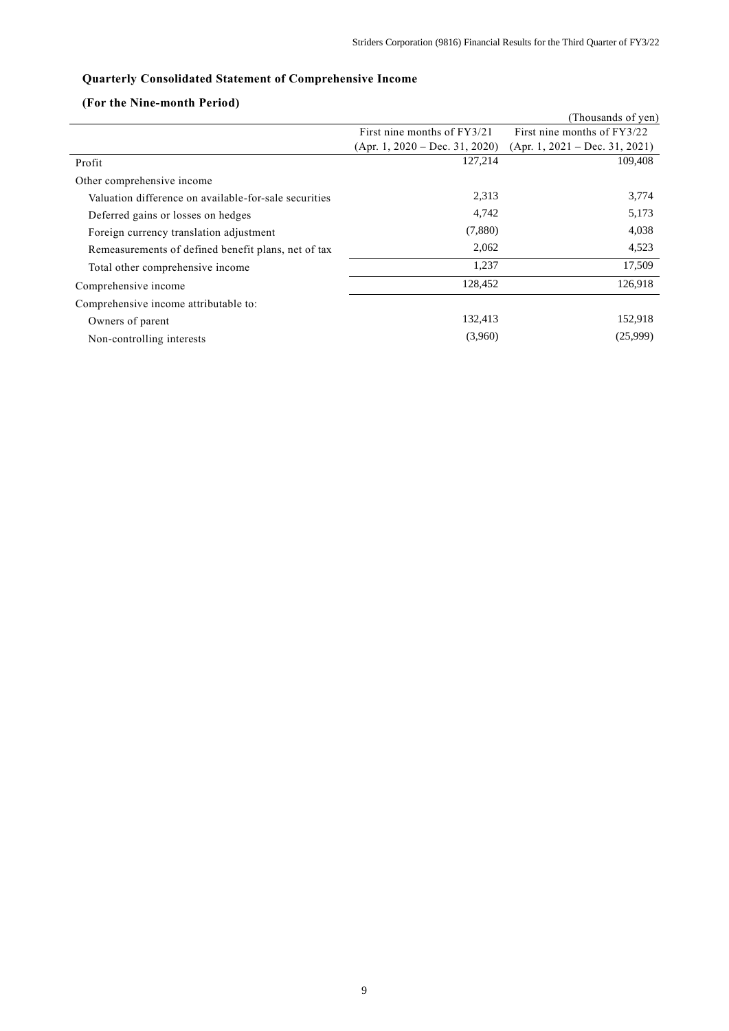# **Quarterly Consolidated Statement of Comprehensive Income**

# **(For the Nine-month Period)**

|                                                       |                                  | (Thousands of yen)               |
|-------------------------------------------------------|----------------------------------|----------------------------------|
|                                                       | First nine months of FY3/21      | First nine months of FY3/22      |
|                                                       | $(Apr. 1, 2020 - Dec. 31, 2020)$ | $(Apr. 1, 2021 - Dec. 31, 2021)$ |
| Profit                                                | 127,214                          | 109,408                          |
| Other comprehensive income                            |                                  |                                  |
| Valuation difference on available-for-sale securities | 2,313                            | 3,774                            |
| Deferred gains or losses on hedges                    | 4,742                            | 5,173                            |
| Foreign currency translation adjustment               | (7,880)                          | 4,038                            |
| Remeasurements of defined benefit plans, net of tax   | 2,062                            | 4,523                            |
| Total other comprehensive income                      | 1,237                            | 17,509                           |
| Comprehensive income                                  | 128,452                          | 126,918                          |
| Comprehensive income attributable to:                 |                                  |                                  |
| Owners of parent                                      | 132,413                          | 152,918                          |
| Non-controlling interests                             | (3,960)                          | (25,999)                         |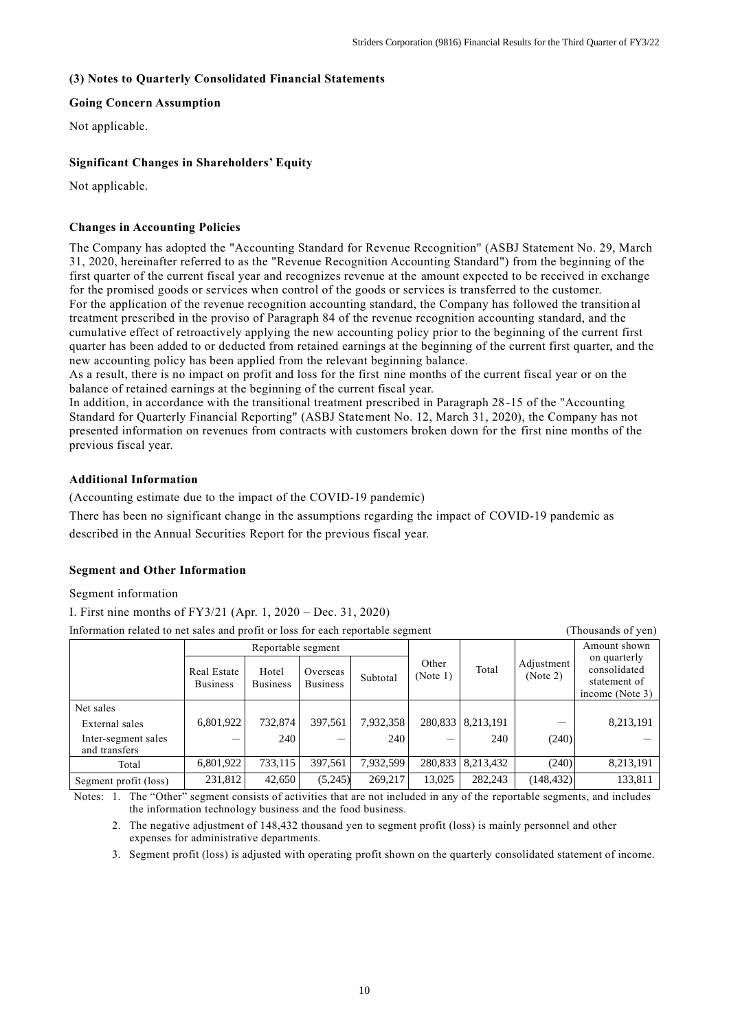### **(3) Notes to Quarterly Consolidated Financial Statements**

### **Going Concern Assumption**

Not applicable.

## **Significant Changes in Shareholders' Equity**

Not applicable.

### **Changes in Accounting Policies**

The Company has adopted the "Accounting Standard for Revenue Recognition" (ASBJ Statement No. 29, March 31, 2020, hereinafter referred to as the "Revenue Recognition Accounting Standard") from the beginning of the first quarter of the current fiscal year and recognizes revenue at the amount expected to be received in exchange for the promised goods or services when control of the goods or services is transferred to the customer. For the application of the revenue recognition accounting standard, the Company has followed the transition al treatment prescribed in the proviso of Paragraph 84 of the revenue recognition accounting standard, and the cumulative effect of retroactively applying the new accounting policy prior to the beginning of the current first quarter has been added to or deducted from retained earnings at the beginning of the current first quarter, and the new accounting policy has been applied from the relevant beginning balance.

As a result, there is no impact on profit and loss for the first nine months of the current fiscal year or on the balance of retained earnings at the beginning of the current fiscal year.

In addition, in accordance with the transitional treatment prescribed in Paragraph 28 -15 of the "Accounting Standard for Quarterly Financial Reporting" (ASBJ Statement No. 12, March 31, 2020), the Company has not presented information on revenues from contracts with customers broken down for the first nine months of the previous fiscal year.

### **Additional Information**

(Accounting estimate due to the impact of the COVID-19 pandemic)

There has been no significant change in the assumptions regarding the impact of COVID-19 pandemic as described in the Annual Securities Report for the previous fiscal year.

### **Segment and Other Information**

### Segment information

I. First nine months of FY3/21 (Apr. 1, 2020 – Dec. 31, 2020)

Information related to net sales and profit or loss for each reportable segment (Thousands of yen)

|                                      | Reportable segment             |                          |                             |           |                   |                     | Amount shown           |                                                                 |
|--------------------------------------|--------------------------------|--------------------------|-----------------------------|-----------|-------------------|---------------------|------------------------|-----------------------------------------------------------------|
|                                      | Real Estate<br><b>Business</b> | Hotel<br><b>Business</b> | Overseas<br><b>Business</b> | Subtotal  | Other<br>(Note 1) | Total               | Adjustment<br>(Note 2) | on quarterly<br>consolidated<br>statement of<br>income (Note 3) |
| Net sales                            |                                |                          |                             |           |                   |                     |                        |                                                                 |
| External sales                       | 6,801,922                      | 732,874                  | 397.561                     | 7,932,358 |                   | 280,833 8,213,191   |                        | 8,213,191                                                       |
| Inter-segment sales<br>and transfers |                                | 240                      |                             | 240       |                   | 240                 | (240)                  |                                                                 |
| Total                                | 6,801,922                      | 733,115                  | 397,561                     | 7,932,599 |                   | 280,833   8,213,432 | (240)                  | 8,213,191                                                       |
| Segment profit (loss)                | 231,812                        | 42,650                   | (5,245)                     | 269,217   | 13.025            | 282,243             | (148, 432)             | 133,811                                                         |

Notes: 1. The "Other" segment consists of activities that are not included in any of the reportable segments, and includes the information technology business and the food business.

2. The negative adjustment of 148,432 thousand yen to segment profit (loss) is mainly personnel and other expenses for administrative departments.

3. Segment profit (loss) is adjusted with operating profit shown on the quarterly consolidated statement of income.